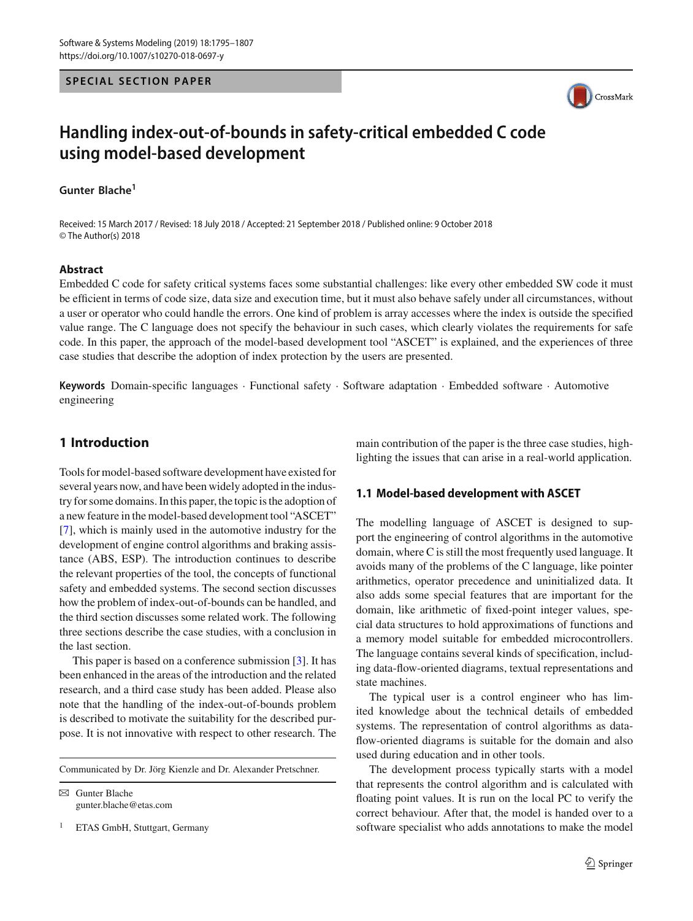#### **SPECIAL SECTION PAPER**



# **Handling index-out-of-bounds in safety-critical embedded C code using model-based development**

**Gunter Blache<sup>1</sup>**

Received: 15 March 2017 / Revised: 18 July 2018 / Accepted: 21 September 2018 / Published online: 9 October 2018 © The Author(s) 2018

#### **Abstract**

Embedded C code for safety critical systems faces some substantial challenges: like every other embedded SW code it must be efficient in terms of code size, data size and execution time, but it must also behave safely under all circumstances, without a user or operator who could handle the errors. One kind of problem is array accesses where the index is outside the specified value range. The C language does not specify the behaviour in such cases, which clearly violates the requirements for safe code. In this paper, the approach of the model-based development tool "ASCET" is explained, and the experiences of three case studies that describe the adoption of index protection by the users are presented.

**Keywords** Domain-specific languages · Functional safety · Software adaptation · Embedded software · Automotive engineering

# **1 Introduction**

Tools for model-based software development have existed for several years now, and have been widely adopted in the industry for some domains. In this paper, the topic is the adoption of a new feature in the model-based development tool "ASCET" [\[7](#page-11-0)], which is mainly used in the automotive industry for the development of engine control algorithms and braking assistance (ABS, ESP). The introduction continues to describe the relevant properties of the tool, the concepts of functional safety and embedded systems. The second section discusses how the problem of index-out-of-bounds can be handled, and the third section discusses some related work. The following three sections describe the case studies, with a conclusion in the last section.

This paper is based on a conference submission [\[3\]](#page-11-1). It has been enhanced in the areas of the introduction and the related research, and a third case study has been added. Please also note that the handling of the index-out-of-bounds problem is described to motivate the suitability for the described purpose. It is not innovative with respect to other research. The

Communicated by Dr. Jörg Kienzle and Dr. Alexander Pretschner.

 $\boxtimes$  Gunter Blache gunter.blache@etas.com

<sup>1</sup> ETAS GmbH, Stuttgart, Germany

main contribution of the paper is the three case studies, highlighting the issues that can arise in a real-world application.

## **1.1 Model-based development with ASCET**

The modelling language of ASCET is designed to support the engineering of control algorithms in the automotive domain, where C is still the most frequently used language. It avoids many of the problems of the C language, like pointer arithmetics, operator precedence and uninitialized data. It also adds some special features that are important for the domain, like arithmetic of fixed-point integer values, special data structures to hold approximations of functions and a memory model suitable for embedded microcontrollers. The language contains several kinds of specification, including data-flow-oriented diagrams, textual representations and state machines.

The typical user is a control engineer who has limited knowledge about the technical details of embedded systems. The representation of control algorithms as dataflow-oriented diagrams is suitable for the domain and also used during education and in other tools.

The development process typically starts with a model that represents the control algorithm and is calculated with floating point values. It is run on the local PC to verify the correct behaviour. After that, the model is handed over to a software specialist who adds annotations to make the model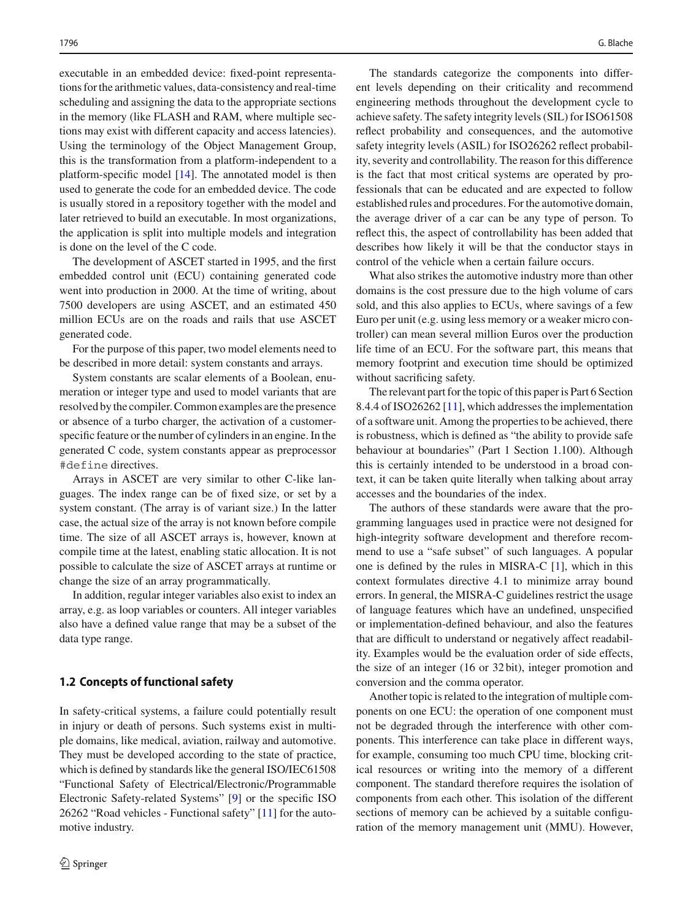executable in an embedded device: fixed-point representations for the arithmetic values, data-consistency and real-time scheduling and assigning the data to the appropriate sections in the memory (like FLASH and RAM, where multiple sections may exist with different capacity and access latencies). Using the terminology of the Object Management Group, this is the transformation from a platform-independent to a platform-specific model [\[14\]](#page-11-2). The annotated model is then used to generate the code for an embedded device. The code is usually stored in a repository together with the model and later retrieved to build an executable. In most organizations, the application is split into multiple models and integration is done on the level of the C code.

The development of ASCET started in 1995, and the first embedded control unit (ECU) containing generated code went into production in 2000. At the time of writing, about 7500 developers are using ASCET, and an estimated 450 million ECUs are on the roads and rails that use ASCET generated code.

For the purpose of this paper, two model elements need to be described in more detail: system constants and arrays.

System constants are scalar elements of a Boolean, enumeration or integer type and used to model variants that are resolved by the compiler. Common examples are the presence or absence of a turbo charger, the activation of a customerspecific feature or the number of cylinders in an engine. In the generated C code, system constants appear as preprocessor #define directives.

Arrays in ASCET are very similar to other C-like languages. The index range can be of fixed size, or set by a system constant. (The array is of variant size.) In the latter case, the actual size of the array is not known before compile time. The size of all ASCET arrays is, however, known at compile time at the latest, enabling static allocation. It is not possible to calculate the size of ASCET arrays at runtime or change the size of an array programmatically.

In addition, regular integer variables also exist to index an array, e.g. as loop variables or counters. All integer variables also have a defined value range that may be a subset of the data type range.

#### <span id="page-1-0"></span>**1.2 Concepts of functional safety**

In safety-critical systems, a failure could potentially result in injury or death of persons. Such systems exist in multiple domains, like medical, aviation, railway and automotive. They must be developed according to the state of practice, which is defined by standards like the general ISO/IEC61508 "Functional Safety of Electrical/Electronic/Programmable Electronic Safety-related Systems" [\[9\]](#page-11-3) or the specific ISO 26262 "Road vehicles - Functional safety" [\[11\]](#page-11-4) for the automotive industry.

The standards categorize the components into different levels depending on their criticality and recommend engineering methods throughout the development cycle to achieve safety. The safety integrity levels (SIL) for ISO61508 reflect probability and consequences, and the automotive safety integrity levels (ASIL) for ISO26262 reflect probability, severity and controllability. The reason for this difference is the fact that most critical systems are operated by professionals that can be educated and are expected to follow established rules and procedures. For the automotive domain, the average driver of a car can be any type of person. To reflect this, the aspect of controllability has been added that describes how likely it will be that the conductor stays in control of the vehicle when a certain failure occurs.

What also strikes the automotive industry more than other domains is the cost pressure due to the high volume of cars sold, and this also applies to ECUs, where savings of a few Euro per unit (e.g. using less memory or a weaker micro controller) can mean several million Euros over the production life time of an ECU. For the software part, this means that memory footprint and execution time should be optimized without sacrificing safety.

The relevant part for the topic of this paper is Part 6 Section 8.4.4 of ISO26262 [\[11](#page-11-4)], which addresses the implementation of a software unit. Among the properties to be achieved, there is robustness, which is defined as "the ability to provide safe behaviour at boundaries" (Part 1 Section 1.100). Although this is certainly intended to be understood in a broad context, it can be taken quite literally when talking about array accesses and the boundaries of the index.

The authors of these standards were aware that the programming languages used in practice were not designed for high-integrity software development and therefore recommend to use a "safe subset" of such languages. A popular one is defined by the rules in MISRA-C [\[1](#page-11-5)], which in this context formulates directive 4.1 to minimize array bound errors. In general, the MISRA-C guidelines restrict the usage of language features which have an undefined, unspecified or implementation-defined behaviour, and also the features that are difficult to understand or negatively affect readability. Examples would be the evaluation order of side effects, the size of an integer (16 or 32 bit), integer promotion and conversion and the comma operator.

Another topic is related to the integration of multiple components on one ECU: the operation of one component must not be degraded through the interference with other components. This interference can take place in different ways, for example, consuming too much CPU time, blocking critical resources or writing into the memory of a different component. The standard therefore requires the isolation of components from each other. This isolation of the different sections of memory can be achieved by a suitable configuration of the memory management unit (MMU). However,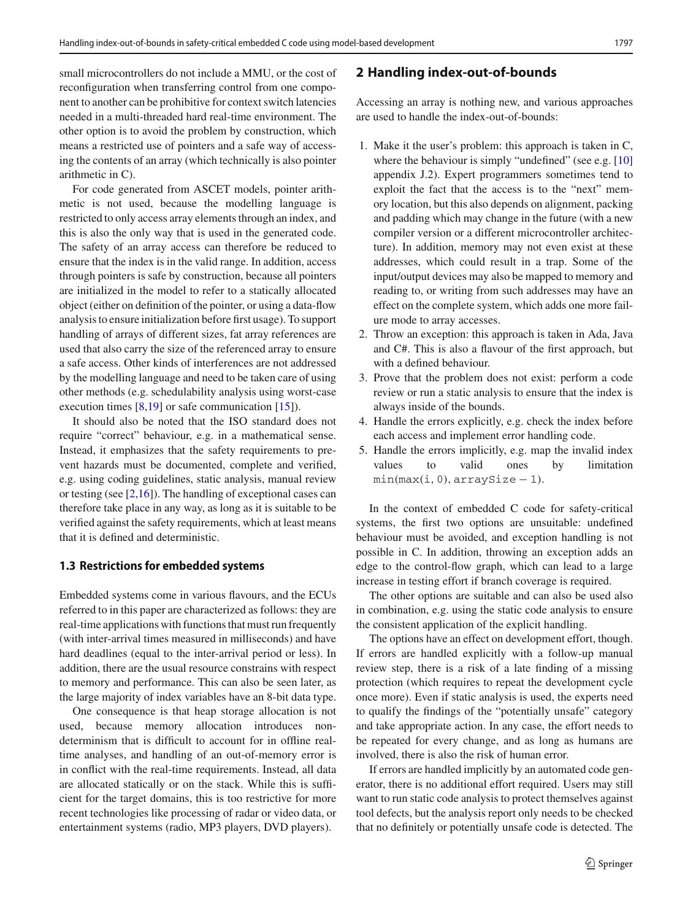small microcontrollers do not include a MMU, or the cost of reconfiguration when transferring control from one component to another can be prohibitive for context switch latencies needed in a multi-threaded hard real-time environment. The other option is to avoid the problem by construction, which means a restricted use of pointers and a safe way of accessing the contents of an array (which technically is also pointer arithmetic in C).

For code generated from ASCET models, pointer arithmetic is not used, because the modelling language is restricted to only access array elements through an index, and this is also the only way that is used in the generated code. The safety of an array access can therefore be reduced to ensure that the index is in the valid range. In addition, access through pointers is safe by construction, because all pointers are initialized in the model to refer to a statically allocated object (either on definition of the pointer, or using a data-flow analysis to ensure initialization before first usage). To support handling of arrays of different sizes, fat array references are used that also carry the size of the referenced array to ensure a safe access. Other kinds of interferences are not addressed by the modelling language and need to be taken care of using other methods (e.g. schedulability analysis using worst-case execution times  $[8,19]$  $[8,19]$  or safe communication  $[15]$ ).

It should also be noted that the ISO standard does not require "correct" behaviour, e.g. in a mathematical sense. Instead, it emphasizes that the safety requirements to prevent hazards must be documented, complete and verified, e.g. using coding guidelines, static analysis, manual review or testing (see  $[2,16]$  $[2,16]$ ). The handling of exceptional cases can therefore take place in any way, as long as it is suitable to be verified against the safety requirements, which at least means that it is defined and deterministic.

#### **1.3 Restrictions for embedded systems**

Embedded systems come in various flavours, and the ECUs referred to in this paper are characterized as follows: they are real-time applications with functions that must run frequently (with inter-arrival times measured in milliseconds) and have hard deadlines (equal to the inter-arrival period or less). In addition, there are the usual resource constrains with respect to memory and performance. This can also be seen later, as the large majority of index variables have an 8-bit data type.

One consequence is that heap storage allocation is not used, because memory allocation introduces nondeterminism that is difficult to account for in offline realtime analyses, and handling of an out-of-memory error is in conflict with the real-time requirements. Instead, all data are allocated statically or on the stack. While this is sufficient for the target domains, this is too restrictive for more recent technologies like processing of radar or video data, or entertainment systems (radio, MP3 players, DVD players).

#### **2 Handling index-out-of-bounds**

Accessing an array is nothing new, and various approaches are used to handle the index-out-of-bounds:

- 1. Make it the user's problem: this approach is taken in C, where the behaviour is simply "undefined" (see e.g. [\[10\]](#page-11-11) appendix J.2). Expert programmers sometimes tend to exploit the fact that the access is to the "next" memory location, but this also depends on alignment, packing and padding which may change in the future (with a new compiler version or a different microcontroller architecture). In addition, memory may not even exist at these addresses, which could result in a trap. Some of the input/output devices may also be mapped to memory and reading to, or writing from such addresses may have an effect on the complete system, which adds one more failure mode to array accesses.
- 2. Throw an exception: this approach is taken in Ada, Java and C#. This is also a flavour of the first approach, but with a defined behaviour.
- 3. Prove that the problem does not exist: perform a code review or run a static analysis to ensure that the index is always inside of the bounds.
- 4. Handle the errors explicitly, e.g. check the index before each access and implement error handling code.
- 5. Handle the errors implicitly, e.g. map the invalid index values to valid ones by limitation min*(*max*(*i*,* 0*),* arraySize − 1*)*.

In the context of embedded C code for safety-critical systems, the first two options are unsuitable: undefined behaviour must be avoided, and exception handling is not possible in C. In addition, throwing an exception adds an edge to the control-flow graph, which can lead to a large increase in testing effort if branch coverage is required.

The other options are suitable and can also be used also in combination, e.g. using the static code analysis to ensure the consistent application of the explicit handling.

The options have an effect on development effort, though. If errors are handled explicitly with a follow-up manual review step, there is a risk of a late finding of a missing protection (which requires to repeat the development cycle once more). Even if static analysis is used, the experts need to qualify the findings of the "potentially unsafe" category and take appropriate action. In any case, the effort needs to be repeated for every change, and as long as humans are involved, there is also the risk of human error.

If errors are handled implicitly by an automated code generator, there is no additional effort required. Users may still want to run static code analysis to protect themselves against tool defects, but the analysis report only needs to be checked that no definitely or potentially unsafe code is detected. The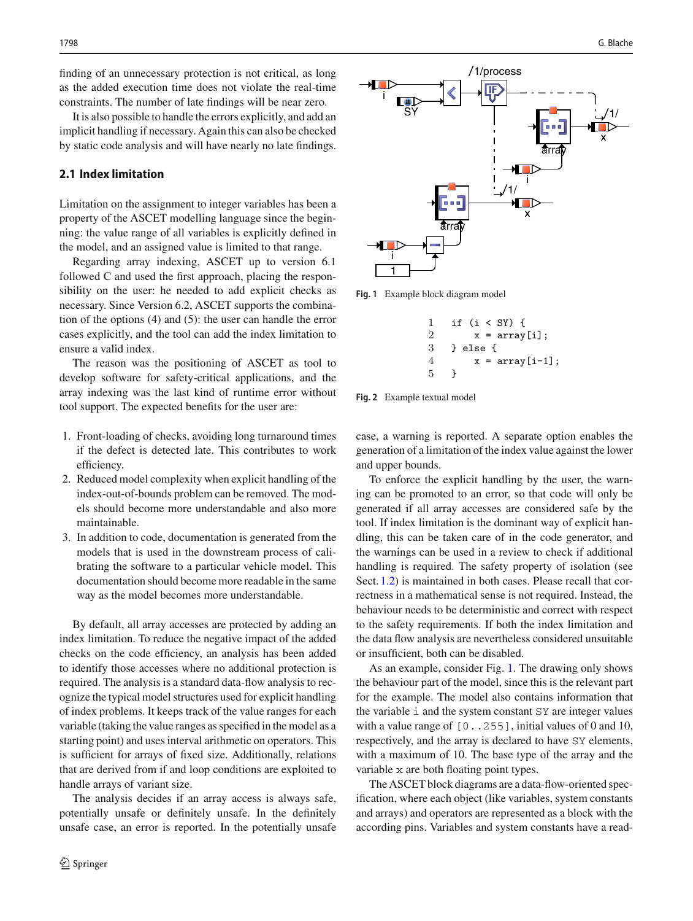finding of an unnecessary protection is not critical, as long as the added execution time does not violate the real-time constraints. The number of late findings will be near zero.

It is also possible to handle the errors explicitly, and add an implicit handling if necessary. Again this can also be checked by static code analysis and will have nearly no late findings.

#### **2.1 Index limitation**

Limitation on the assignment to integer variables has been a property of the ASCET modelling language since the beginning: the value range of all variables is explicitly defined in the model, and an assigned value is limited to that range.

Regarding array indexing, ASCET up to version 6.1 followed C and used the first approach, placing the responsibility on the user: he needed to add explicit checks as necessary. Since Version 6.2, ASCET supports the combination of the options (4) and (5): the user can handle the error cases explicitly, and the tool can add the index limitation to ensure a valid index.

The reason was the positioning of ASCET as tool to develop software for safety-critical applications, and the array indexing was the last kind of runtime error without tool support. The expected benefits for the user are:

- 1. Front-loading of checks, avoiding long turnaround times if the defect is detected late. This contributes to work efficiency.
- 2. Reduced model complexity when explicit handling of the index-out-of-bounds problem can be removed. The models should become more understandable and also more maintainable.
- 3. In addition to code, documentation is generated from the models that is used in the downstream process of calibrating the software to a particular vehicle model. This documentation should become more readable in the same way as the model becomes more understandable.

By default, all array accesses are protected by adding an index limitation. To reduce the negative impact of the added checks on the code efficiency, an analysis has been added to identify those accesses where no additional protection is required. The analysis is a standard data-flow analysis to recognize the typical model structures used for explicit handling of index problems. It keeps track of the value ranges for each variable (taking the value ranges as specified in the model as a starting point) and uses interval arithmetic on operators. This is sufficient for arrays of fixed size. Additionally, relations that are derived from if and loop conditions are exploited to handle arrays of variant size.

The analysis decides if an array access is always safe, potentially unsafe or definitely unsafe. In the definitely unsafe case, an error is reported. In the potentially unsafe



<span id="page-3-0"></span>**Fig. 1** Example block diagram model

1 if (i < SY) { 2  $x = array[i];$ 3 } else { 4  $x = array[i-1];$ 5 }

<span id="page-3-1"></span>**Fig. 2** Example textual model

case, a warning is reported. A separate option enables the generation of a limitation of the index value against the lower and upper bounds.

To enforce the explicit handling by the user, the warning can be promoted to an error, so that code will only be generated if all array accesses are considered safe by the tool. If index limitation is the dominant way of explicit handling, this can be taken care of in the code generator, and the warnings can be used in a review to check if additional handling is required. The safety property of isolation (see Sect. [1.2\)](#page-1-0) is maintained in both cases. Please recall that correctness in a mathematical sense is not required. Instead, the behaviour needs to be deterministic and correct with respect to the safety requirements. If both the index limitation and the data flow analysis are nevertheless considered unsuitable or insufficient, both can be disabled.

As an example, consider Fig. [1.](#page-3-0) The drawing only shows the behaviour part of the model, since this is the relevant part for the example. The model also contains information that the variable i and the system constant SY are integer values with a value range of  $[0..255]$ , initial values of 0 and 10, respectively, and the array is declared to have SY elements, with a maximum of 10. The base type of the array and the variable x are both floating point types.

The ASCET block diagrams are a data-flow-oriented specification, where each object (like variables, system constants and arrays) and operators are represented as a block with the according pins. Variables and system constants have a read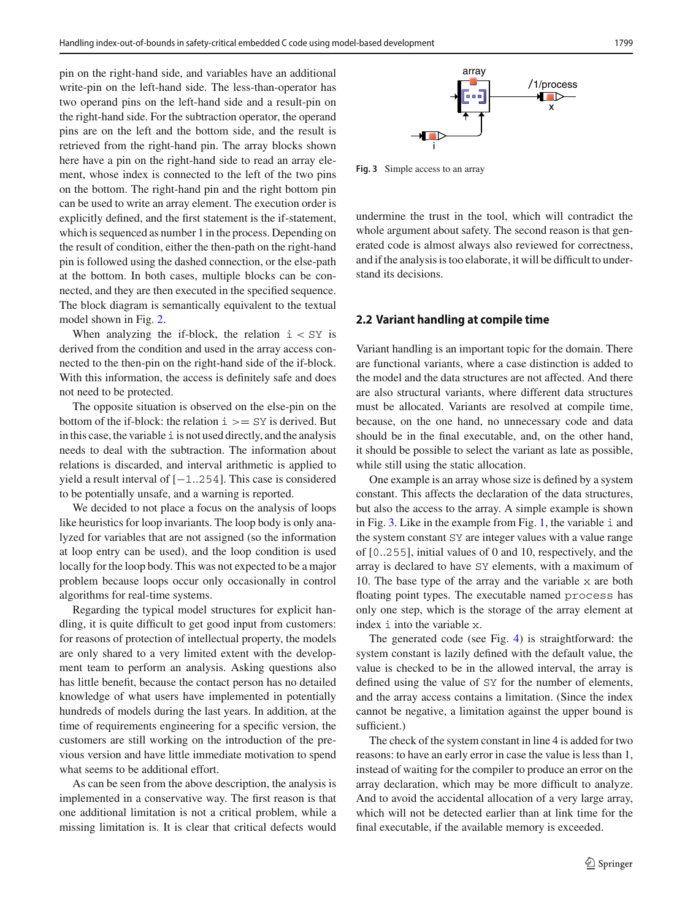pin on the right-hand side, and variables have an additional write-pin on the left-hand side. The less-than-operator has two operand pins on the left-hand side and a result-pin on the right-hand side. For the subtraction operator, the operand pins are on the left and the bottom side, and the result is retrieved from the right-hand pin. The array blocks shown here have a pin on the right-hand side to read an array element, whose index is connected to the left of the two pins on the bottom. The right-hand pin and the right bottom pin can be used to write an array element. The execution order is explicitly defined, and the first statement is the if-statement, which is sequenced as number 1 in the process. Depending on the result of condition, either the then-path on the right-hand pin is followed using the dashed connection, or the else-path at the bottom. In both cases, multiple blocks can be connected, and they are then executed in the specified sequence. The block diagram is semantically equivalent to the textual model shown in Fig. [2.](#page-3-1)

When analyzing the if-block, the relation  $i < SY$  is derived from the condition and used in the array access connected to the then-pin on the right-hand side of the if-block. With this information, the access is definitely safe and does not need to be protected.

The opposite situation is observed on the else-pin on the bottom of the if-block: the relation i *>*= SY is derived. But in this case, the variable  $\pm$  is not used directly, and the analysis needs to deal with the subtraction. The information about relations is discarded, and interval arithmetic is applied to yield a result interval of [−1*..*254]. This case is considered to be potentially unsafe, and a warning is reported.

We decided to not place a focus on the analysis of loops like heuristics for loop invariants. The loop body is only analyzed for variables that are not assigned (so the information at loop entry can be used), and the loop condition is used locally for the loop body. This was not expected to be a major problem because loops occur only occasionally in control algorithms for real-time systems.

Regarding the typical model structures for explicit handling, it is quite difficult to get good input from customers: for reasons of protection of intellectual property, the models are only shared to a very limited extent with the development team to perform an analysis. Asking questions also has little benefit, because the contact person has no detailed knowledge of what users have implemented in potentially hundreds of models during the last years. In addition, at the time of requirements engineering for a specific version, the customers are still working on the introduction of the previous version and have little immediate motivation to spend what seems to be additional effort.

As can be seen from the above description, the analysis is implemented in a conservative way. The first reason is that one additional limitation is not a critical problem, while a missing limitation is. It is clear that critical defects would



<span id="page-4-0"></span>**Fig. 3** Simple access to an array

undermine the trust in the tool, which will contradict the whole argument about safety. The second reason is that generated code is almost always also reviewed for correctness, and if the analysis is too elaborate, it will be difficult to understand its decisions.

#### <span id="page-4-1"></span>**2.2 Variant handling at compile time**

Variant handling is an important topic for the domain. There are functional variants, where a case distinction is added to the model and the data structures are not affected. And there are also structural variants, where different data structures must be allocated. Variants are resolved at compile time, because, on the one hand, no unnecessary code and data should be in the final executable, and, on the other hand, it should be possible to select the variant as late as possible, while still using the static allocation.

One example is an array whose size is defined by a system constant. This affects the declaration of the data structures, but also the access to the array. A simple example is shown in Fig. [3.](#page-4-0) Like in the example from Fig. [1,](#page-3-0) the variable i and the system constant SY are integer values with a value range of [0*..*255], initial values of 0 and 10, respectively, and the array is declared to have SY elements, with a maximum of 10. The base type of the array and the variable x are both floating point types. The executable named process has only one step, which is the storage of the array element at index i into the variable x.

The generated code (see Fig. [4\)](#page-5-0) is straightforward: the system constant is lazily defined with the default value, the value is checked to be in the allowed interval, the array is defined using the value of SY for the number of elements, and the array access contains a limitation. (Since the index cannot be negative, a limitation against the upper bound is sufficient.)

The check of the system constant in line 4 is added for two reasons: to have an early error in case the value is less than 1, instead of waiting for the compiler to produce an error on the array declaration, which may be more difficult to analyze. And to avoid the accidental allocation of a very large array, which will not be detected earlier than at link time for the final executable, if the available memory is exceeded.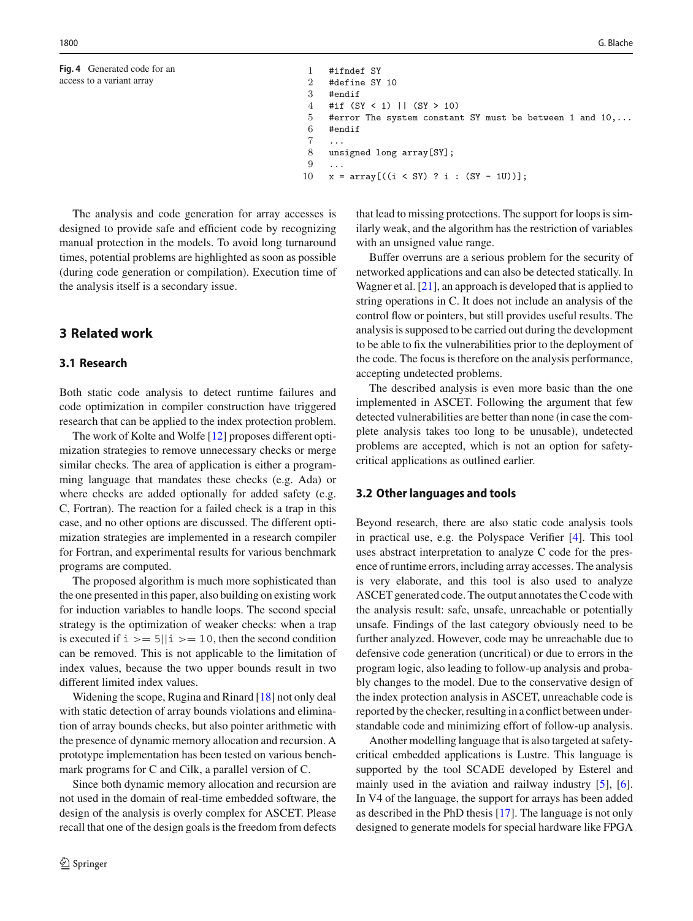```
Fig. 4 Generated code for an
access to a variant array
```

```
1 #ifndef SY
\frac{2}{3} #define SY 10
    3 #endif
4 #if (SY < 1) || (SY > 10)
5 #error The system constant SY must be between 1 and 10,...
6 #endif
7 ...
8 unsigned long array[SY];
9 ...
10 x = \arctan((i \lt SY) ? i : (SY - 1U));
```
The analysis and code generation for array accesses is designed to provide safe and efficient code by recognizing manual protection in the models. To avoid long turnaround times, potential problems are highlighted as soon as possible (during code generation or compilation). Execution time of the analysis itself is a secondary issue.

# **3 Related work**

## **3.1 Research**

Both static code analysis to detect runtime failures and code optimization in compiler construction have triggered research that can be applied to the index protection problem.

The work of Kolte and Wolfe [\[12\]](#page-11-12) proposes different optimization strategies to remove unnecessary checks or merge similar checks. The area of application is either a programming language that mandates these checks (e.g. Ada) or where checks are added optionally for added safety (e.g. C, Fortran). The reaction for a failed check is a trap in this case, and no other options are discussed. The different optimization strategies are implemented in a research compiler for Fortran, and experimental results for various benchmark programs are computed.

The proposed algorithm is much more sophisticated than the one presented in this paper, also building on existing work for induction variables to handle loops. The second special strategy is the optimization of weaker checks: when a trap is executed if  $i \geq 5$ || $i \geq 10$ , then the second condition can be removed. This is not applicable to the limitation of index values, because the two upper bounds result in two different limited index values.

Widening the scope, Rugina and Rinard [\[18](#page-11-13)] not only deal with static detection of array bounds violations and elimination of array bounds checks, but also pointer arithmetic with the presence of dynamic memory allocation and recursion. A prototype implementation has been tested on various benchmark programs for C and Cilk, a parallel version of C.

Since both dynamic memory allocation and recursion are not used in the domain of real-time embedded software, the design of the analysis is overly complex for ASCET. Please recall that one of the design goals is the freedom from defects

that lead to missing protections. The support for loops is similarly weak, and the algorithm has the restriction of variables with an unsigned value range.

Buffer overruns are a serious problem for the security of networked applications and can also be detected statically. In Wagner et al. [\[21](#page-11-14)], an approach is developed that is applied to string operations in C. It does not include an analysis of the control flow or pointers, but still provides useful results. The analysis is supposed to be carried out during the development to be able to fix the vulnerabilities prior to the deployment of the code. The focus is therefore on the analysis performance, accepting undetected problems.

The described analysis is even more basic than the one implemented in ASCET. Following the argument that few detected vulnerabilities are better than none (in case the complete analysis takes too long to be unusable), undetected problems are accepted, which is not an option for safetycritical applications as outlined earlier.

#### **3.2 Other languages and tools**

Beyond research, there are also static code analysis tools in practical use, e.g. the Polyspace Verifier [\[4](#page-11-15)]. This tool uses abstract interpretation to analyze C code for the presence of runtime errors, including array accesses. The analysis is very elaborate, and this tool is also used to analyze ASCET generated code. The output annotates the C code with the analysis result: safe, unsafe, unreachable or potentially unsafe. Findings of the last category obviously need to be further analyzed. However, code may be unreachable due to defensive code generation (uncritical) or due to errors in the program logic, also leading to follow-up analysis and probably changes to the model. Due to the conservative design of the index protection analysis in ASCET, unreachable code is reported by the checker, resulting in a conflict between understandable code and minimizing effort of follow-up analysis.

Another modelling language that is also targeted at safetycritical embedded applications is Lustre. This language is supported by the tool SCADE developed by Esterel and mainly used in the aviation and railway industry [\[5](#page-11-16)], [\[6](#page-11-17)]. In V4 of the language, the support for arrays has been added as described in the PhD thesis [\[17](#page-11-18)]. The language is not only designed to generate models for special hardware like FPGA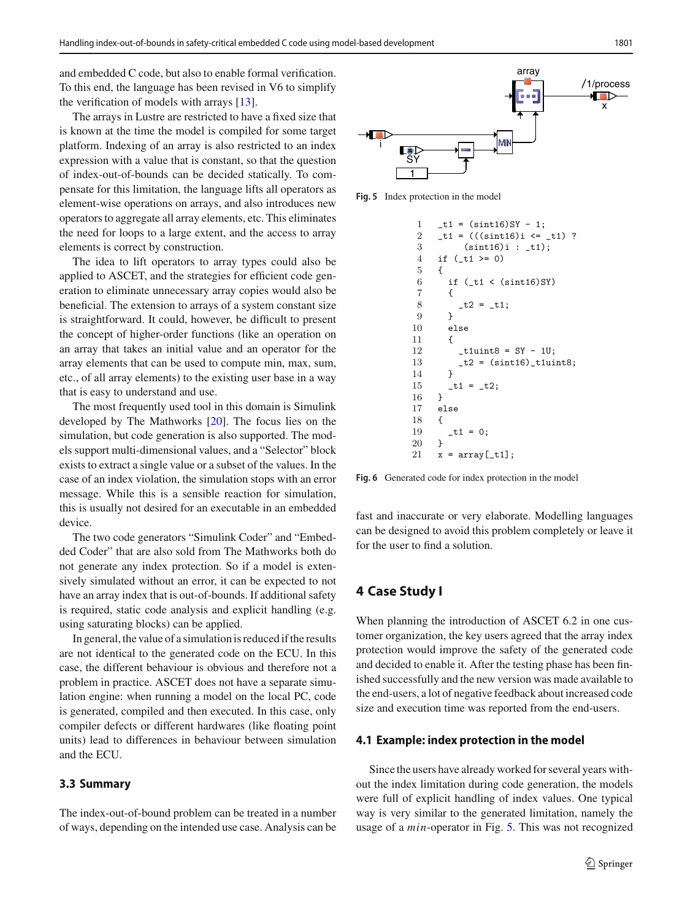and embedded C code, but also to enable formal verification. To this end, the language has been revised in V6 to simplify the verification of models with arrays [\[13\]](#page-11-19).

The arrays in Lustre are restricted to have a fixed size that is known at the time the model is compiled for some target platform. Indexing of an array is also restricted to an index expression with a value that is constant, so that the question of index-out-of-bounds can be decided statically. To compensate for this limitation, the language lifts all operators as element-wise operations on arrays, and also introduces new operators to aggregate all array elements, etc. This eliminates the need for loops to a large extent, and the access to array elements is correct by construction.

The idea to lift operators to array types could also be applied to ASCET, and the strategies for efficient code generation to eliminate unnecessary array copies would also be beneficial. The extension to arrays of a system constant size is straightforward. It could, however, be difficult to present the concept of higher-order functions (like an operation on an array that takes an initial value and an operator for the array elements that can be used to compute min, max, sum, etc., of all array elements) to the existing user base in a way that is easy to understand and use.

The most frequently used tool in this domain is Simulink developed by The Mathworks [\[20](#page-11-20)]. The focus lies on the simulation, but code generation is also supported. The models support multi-dimensional values, and a "Selector" block exists to extract a single value or a subset of the values. In the case of an index violation, the simulation stops with an error message. While this is a sensible reaction for simulation, this is usually not desired for an executable in an embedded device.

The two code generators "Simulink Coder" and "Embedded Coder" that are also sold from The Mathworks both do not generate any index protection. So if a model is extensively simulated without an error, it can be expected to not have an array index that is out-of-bounds. If additional safety is required, static code analysis and explicit handling (e.g. using saturating blocks) can be applied.

In general, the value of a simulation is reduced if the results are not identical to the generated code on the ECU. In this case, the different behaviour is obvious and therefore not a problem in practice. ASCET does not have a separate simulation engine: when running a model on the local PC, code is generated, compiled and then executed. In this case, only compiler defects or different hardwares (like floating point units) lead to differences in behaviour between simulation and the ECU.

#### **3.3 Summary**

The index-out-of-bound problem can be treated in a number of ways, depending on the intended use case. Analysis can be



<span id="page-6-0"></span>**Fig. 5** Index protection in the model

```
1 - t1 = (sint16)SY - 1;2 _t1 = (((sin t16)i \leq _t1) ?3 (sint16)i : _t1);
 4 if (\text{-}t1 \ge 0)5 {
 6 if (\text{t1} \lt (\text{sint16})SY)
 7 {
 8 - t2 = t1;9 }
10 else
11 {
12 _t1uint8 = SY - 1U;
13 -t2 = (sint16) _t1uint8;14 }
15 -t1 = -t2;16 }
17 else
18 {
\begin{array}{cc} 19 & \text{t1 = 0;} \\ 20 & \text{t} \end{array}20 }
21 x = array[-t1];
```
<span id="page-6-1"></span>**Fig. 6** Generated code for index protection in the model

fast and inaccurate or very elaborate. Modelling languages can be designed to avoid this problem completely or leave it for the user to find a solution.

# **4 Case Study I**

When planning the introduction of ASCET 6.2 in one customer organization, the key users agreed that the array index protection would improve the safety of the generated code and decided to enable it. After the testing phase has been finished successfully and the new version was made available to the end-users, a lot of negative feedback about increased code size and execution time was reported from the end-users.

#### **4.1 Example: index protection in the model**

Since the users have already worked for several years without the index limitation during code generation, the models were full of explicit handling of index values. One typical way is very similar to the generated limitation, namely the usage of a *min*-operator in Fig. [5.](#page-6-0) This was not recognized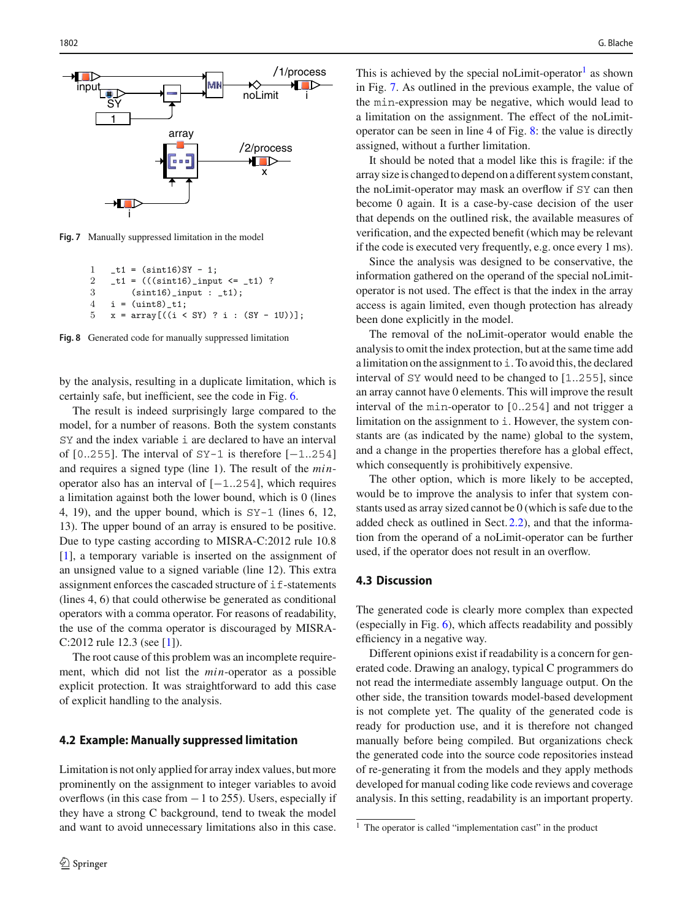

<span id="page-7-1"></span>**Fig. 7** Manually suppressed limitation in the model

```
1 - t1 = (sint16)SY - 1;2 _t1 = (((sin t16) _ input <= _t1) ?3 (sint16)_input : _t1);
4 i = (uint8)_t1;
5 x = array[((i < SY) ? i : (SY - 1U))];
```
<span id="page-7-2"></span>**Fig. 8** Generated code for manually suppressed limitation

by the analysis, resulting in a duplicate limitation, which is certainly safe, but inefficient, see the code in Fig. [6.](#page-6-1)

The result is indeed surprisingly large compared to the model, for a number of reasons. Both the system constants SY and the index variable i are declared to have an interval of [0*..*255]. The interval of SY-1 is therefore [−1*..*254] and requires a signed type (line 1). The result of the *min*operator also has an interval of [−1*..*254], which requires a limitation against both the lower bound, which is 0 (lines 4, 19), and the upper bound, which is SY-1 (lines 6, 12, 13). The upper bound of an array is ensured to be positive. Due to type casting according to MISRA-C:2012 rule 10.8 [\[1](#page-11-5)], a temporary variable is inserted on the assignment of an unsigned value to a signed variable (line 12). This extra assignment enforces the cascaded structure of  $\exists$  f-statements (lines 4, 6) that could otherwise be generated as conditional operators with a comma operator. For reasons of readability, the use of the comma operator is discouraged by MISRA-C:2012 rule 12.3 (see [\[1\]](#page-11-5)).

The root cause of this problem was an incomplete requirement, which did not list the *min*-operator as a possible explicit protection. It was straightforward to add this case of explicit handling to the analysis.

#### **4.2 Example: Manually suppressed limitation**

Limitation is not only applied for array index values, but more prominently on the assignment to integer variables to avoid overflows (in this case from  $-1$  to 255). Users, especially if they have a strong C background, tend to tweak the model and want to avoid unnecessary limitations also in this case.

This is achieved by the special no Limit-operator<sup>[1](#page-7-0)</sup> as shown in Fig. [7.](#page-7-1) As outlined in the previous example, the value of the min-expression may be negative, which would lead to a limitation on the assignment. The effect of the noLimitoperator can be seen in line 4 of Fig. [8:](#page-7-2) the value is directly assigned, without a further limitation.

It should be noted that a model like this is fragile: if the array size is changed to depend on a different system constant, the noLimit-operator may mask an overflow if SY can then become 0 again. It is a case-by-case decision of the user that depends on the outlined risk, the available measures of verification, and the expected benefit (which may be relevant if the code is executed very frequently, e.g. once every 1 ms).

Since the analysis was designed to be conservative, the information gathered on the operand of the special noLimitoperator is not used. The effect is that the index in the array access is again limited, even though protection has already been done explicitly in the model.

The removal of the noLimit-operator would enable the analysis to omit the index protection, but at the same time add a limitation on the assignment to i. To avoid this, the declared interval of SY would need to be changed to [1*..*255], since an array cannot have 0 elements. This will improve the result interval of the min-operator to [0*..*254] and not trigger a limitation on the assignment to  $\angle$ . However, the system constants are (as indicated by the name) global to the system, and a change in the properties therefore has a global effect, which consequently is prohibitively expensive.

The other option, which is more likely to be accepted, would be to improve the analysis to infer that system constants used as array sized cannot be 0 (which is safe due to the added check as outlined in Sect. [2.2\)](#page-4-1), and that the information from the operand of a noLimit-operator can be further used, if the operator does not result in an overflow.

#### **4.3 Discussion**

The generated code is clearly more complex than expected (especially in Fig. [6\)](#page-6-1), which affects readability and possibly efficiency in a negative way.

Different opinions exist if readability is a concern for generated code. Drawing an analogy, typical C programmers do not read the intermediate assembly language output. On the other side, the transition towards model-based development is not complete yet. The quality of the generated code is ready for production use, and it is therefore not changed manually before being compiled. But organizations check the generated code into the source code repositories instead of re-generating it from the models and they apply methods developed for manual coding like code reviews and coverage analysis. In this setting, readability is an important property.

<span id="page-7-0"></span> $1$  The operator is called "implementation cast" in the product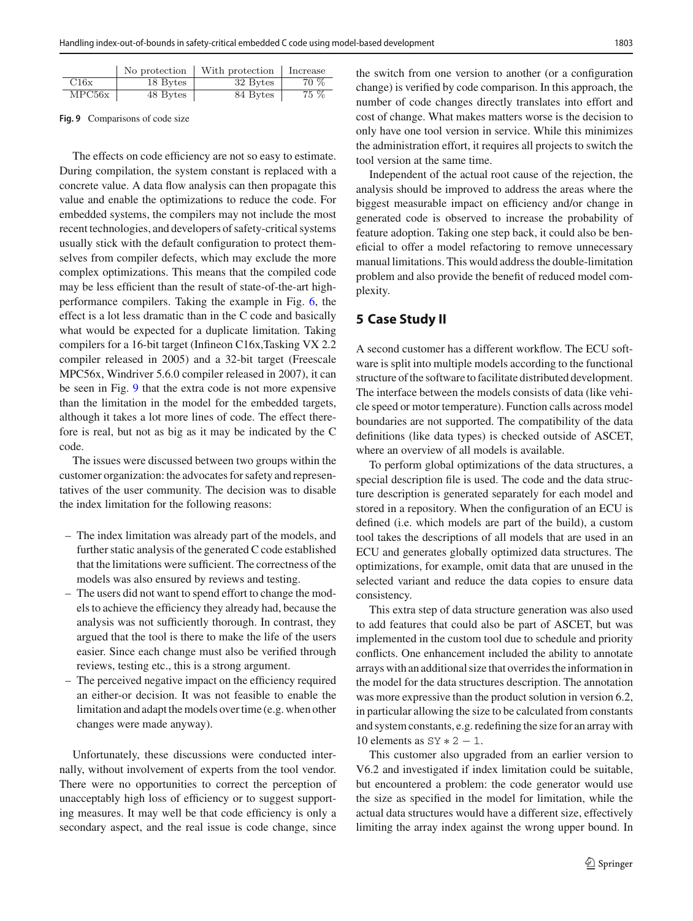|  |        |          | No protection $\vert$ With protection | Increase |
|--|--------|----------|---------------------------------------|----------|
|  | C16x   | 18 Bytes | 32 Bytes                              | 70 %     |
|  | MPC56x | 48 Bytes | 84 Bytes                              | $75\%$   |

<span id="page-8-0"></span>**Fig. 9** Comparisons of code size

The effects on code efficiency are not so easy to estimate. During compilation, the system constant is replaced with a concrete value. A data flow analysis can then propagate this value and enable the optimizations to reduce the code. For embedded systems, the compilers may not include the most recent technologies, and developers of safety-critical systems usually stick with the default configuration to protect themselves from compiler defects, which may exclude the more complex optimizations. This means that the compiled code may be less efficient than the result of state-of-the-art highperformance compilers. Taking the example in Fig. [6,](#page-6-1) the effect is a lot less dramatic than in the C code and basically what would be expected for a duplicate limitation. Taking compilers for a 16-bit target (Infineon C16x,Tasking VX 2.2 compiler released in 2005) and a 32-bit target (Freescale MPC56x, Windriver 5.6.0 compiler released in 2007), it can be seen in Fig. [9](#page-8-0) that the extra code is not more expensive than the limitation in the model for the embedded targets, although it takes a lot more lines of code. The effect therefore is real, but not as big as it may be indicated by the C code.

The issues were discussed between two groups within the customer organization: the advocates for safety and representatives of the user community. The decision was to disable the index limitation for the following reasons:

- The index limitation was already part of the models, and further static analysis of the generated C code established that the limitations were sufficient. The correctness of the models was also ensured by reviews and testing.
- The users did not want to spend effort to change the models to achieve the efficiency they already had, because the analysis was not sufficiently thorough. In contrast, they argued that the tool is there to make the life of the users easier. Since each change must also be verified through reviews, testing etc., this is a strong argument.
- The perceived negative impact on the efficiency required an either-or decision. It was not feasible to enable the limitation and adapt the models over time (e.g. when other changes were made anyway).

Unfortunately, these discussions were conducted internally, without involvement of experts from the tool vendor. There were no opportunities to correct the perception of unacceptably high loss of efficiency or to suggest supporting measures. It may well be that code efficiency is only a secondary aspect, and the real issue is code change, since the switch from one version to another (or a configuration change) is verified by code comparison. In this approach, the number of code changes directly translates into effort and cost of change. What makes matters worse is the decision to only have one tool version in service. While this minimizes the administration effort, it requires all projects to switch the tool version at the same time.

Independent of the actual root cause of the rejection, the analysis should be improved to address the areas where the biggest measurable impact on efficiency and/or change in generated code is observed to increase the probability of feature adoption. Taking one step back, it could also be beneficial to offer a model refactoring to remove unnecessary manual limitations. This would address the double-limitation problem and also provide the benefit of reduced model complexity.

# **5 Case Study II**

A second customer has a different workflow. The ECU software is split into multiple models according to the functional structure of the software to facilitate distributed development. The interface between the models consists of data (like vehicle speed or motor temperature). Function calls across model boundaries are not supported. The compatibility of the data definitions (like data types) is checked outside of ASCET, where an overview of all models is available.

To perform global optimizations of the data structures, a special description file is used. The code and the data structure description is generated separately for each model and stored in a repository. When the configuration of an ECU is defined (i.e. which models are part of the build), a custom tool takes the descriptions of all models that are used in an ECU and generates globally optimized data structures. The optimizations, for example, omit data that are unused in the selected variant and reduce the data copies to ensure data consistency.

This extra step of data structure generation was also used to add features that could also be part of ASCET, but was implemented in the custom tool due to schedule and priority conflicts. One enhancement included the ability to annotate arrays with an additional size that overrides the information in the model for the data structures description. The annotation was more expressive than the product solution in version 6.2, in particular allowing the size to be calculated from constants and system constants, e.g. redefining the size for an array with 10 elements as  $SY * 2 - 1$ .

This customer also upgraded from an earlier version to V6.2 and investigated if index limitation could be suitable, but encountered a problem: the code generator would use the size as specified in the model for limitation, while the actual data structures would have a different size, effectively limiting the array index against the wrong upper bound. In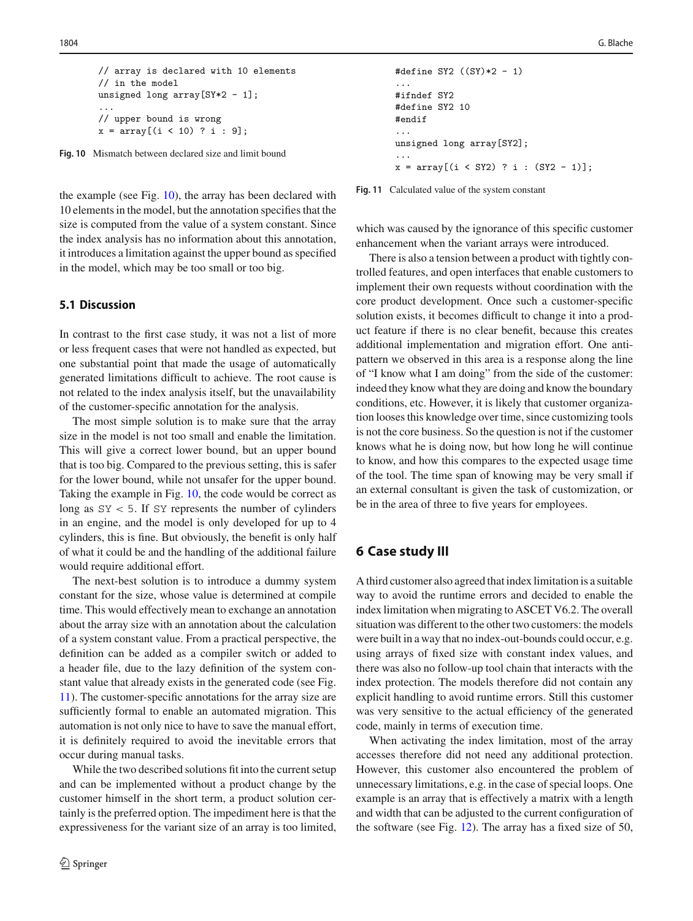```
// array is declared with 10 elements
// in the model
unsigned long array[SY*2 - 1];...
// upper bound is wrong
x = array[(i < 10) ? i : 9];
```
<span id="page-9-0"></span>**Fig. 10** Mismatch between declared size and limit bound

the example (see Fig. [10\)](#page-9-0), the array has been declared with 10 elements in the model, but the annotation specifies that the size is computed from the value of a system constant. Since the index analysis has no information about this annotation, it introduces a limitation against the upper bound as specified in the model, which may be too small or too big.

## **5.1 Discussion**

In contrast to the first case study, it was not a list of more or less frequent cases that were not handled as expected, but one substantial point that made the usage of automatically generated limitations difficult to achieve. The root cause is not related to the index analysis itself, but the unavailability of the customer-specific annotation for the analysis.

The most simple solution is to make sure that the array size in the model is not too small and enable the limitation. This will give a correct lower bound, but an upper bound that is too big. Compared to the previous setting, this is safer for the lower bound, while not unsafer for the upper bound. Taking the example in Fig. [10,](#page-9-0) the code would be correct as long as SY *<* 5. If SY represents the number of cylinders in an engine, and the model is only developed for up to 4 cylinders, this is fine. But obviously, the benefit is only half of what it could be and the handling of the additional failure would require additional effort.

The next-best solution is to introduce a dummy system constant for the size, whose value is determined at compile time. This would effectively mean to exchange an annotation about the array size with an annotation about the calculation of a system constant value. From a practical perspective, the definition can be added as a compiler switch or added to a header file, due to the lazy definition of the system constant value that already exists in the generated code (see Fig. [11\)](#page-9-1). The customer-specific annotations for the array size are sufficiently formal to enable an automated migration. This automation is not only nice to have to save the manual effort, it is definitely required to avoid the inevitable errors that occur during manual tasks.

While the two described solutions fit into the current setup and can be implemented without a product change by the customer himself in the short term, a product solution certainly is the preferred option. The impediment here is that the expressiveness for the variant size of an array is too limited,

```
#define SY2 ((SY)*2 - 1)
...
#ifndef SY2
#define SY2 10
#endif
...
unsigned long array[SY2];
...
x = array[(i < SY2) ? i : (SY2 - 1)];
```
<span id="page-9-1"></span>**Fig. 11** Calculated value of the system constant

which was caused by the ignorance of this specific customer enhancement when the variant arrays were introduced.

There is also a tension between a product with tightly controlled features, and open interfaces that enable customers to implement their own requests without coordination with the core product development. Once such a customer-specific solution exists, it becomes difficult to change it into a product feature if there is no clear benefit, because this creates additional implementation and migration effort. One antipattern we observed in this area is a response along the line of "I know what I am doing" from the side of the customer: indeed they know what they are doing and know the boundary conditions, etc. However, it is likely that customer organization looses this knowledge over time, since customizing tools is not the core business. So the question is not if the customer knows what he is doing now, but how long he will continue to know, and how this compares to the expected usage time of the tool. The time span of knowing may be very small if an external consultant is given the task of customization, or be in the area of three to five years for employees.

# **6 Case study III**

A third customer also agreed that index limitation is a suitable way to avoid the runtime errors and decided to enable the index limitation when migrating to ASCET V6.2. The overall situation was different to the other two customers: the models were built in a way that no index-out-bounds could occur, e.g. using arrays of fixed size with constant index values, and there was also no follow-up tool chain that interacts with the index protection. The models therefore did not contain any explicit handling to avoid runtime errors. Still this customer was very sensitive to the actual efficiency of the generated code, mainly in terms of execution time.

When activating the index limitation, most of the array accesses therefore did not need any additional protection. However, this customer also encountered the problem of unnecessary limitations, e.g. in the case of special loops. One example is an array that is effectively a matrix with a length and width that can be adjusted to the current configuration of the software (see Fig. [12\)](#page-10-0). The array has a fixed size of 50,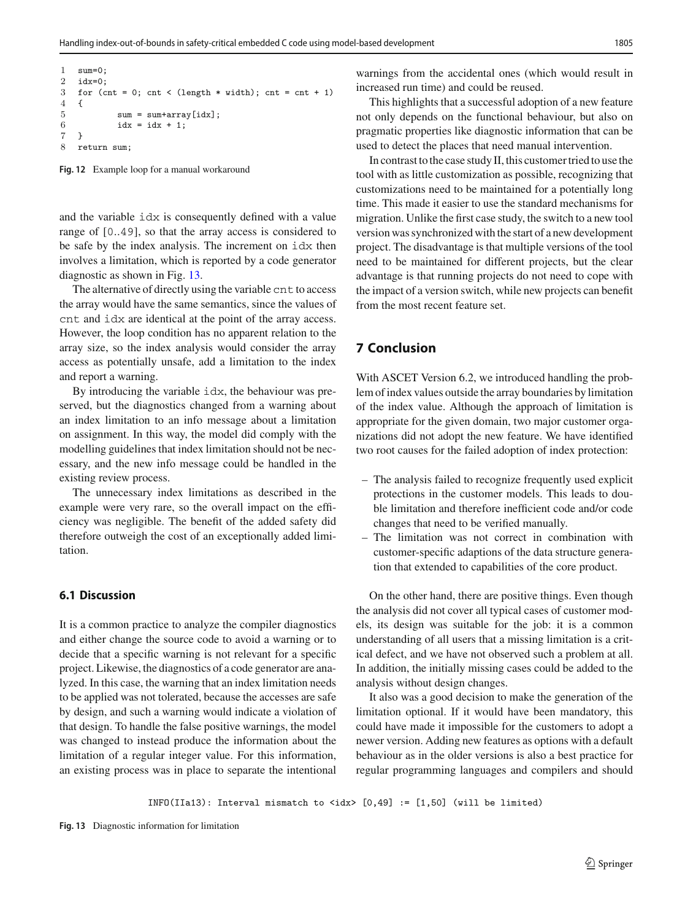```
1 sum=0;<br>2 idy=0;
   i\,d\,y=03 for (cnt = 0; cnt < (length * width); cnt = cnt + 1)
4 {
5 sum = sum+array[idx];
6 idx = idx + 1;7 }
8 return sum;
```
<span id="page-10-0"></span>**Fig. 12** Example loop for a manual workaround

and the variable idx is consequently defined with a value range of [0*..*49], so that the array access is considered to be safe by the index analysis. The increment on idx then involves a limitation, which is reported by a code generator diagnostic as shown in Fig. [13.](#page-10-1)

The alternative of directly using the variable cnt to access the array would have the same semantics, since the values of cnt and idx are identical at the point of the array access. However, the loop condition has no apparent relation to the array size, so the index analysis would consider the array access as potentially unsafe, add a limitation to the index and report a warning.

By introducing the variable idx, the behaviour was preserved, but the diagnostics changed from a warning about an index limitation to an info message about a limitation on assignment. In this way, the model did comply with the modelling guidelines that index limitation should not be necessary, and the new info message could be handled in the existing review process.

The unnecessary index limitations as described in the example were very rare, so the overall impact on the efficiency was negligible. The benefit of the added safety did therefore outweigh the cost of an exceptionally added limitation.

### **6.1 Discussion**

It is a common practice to analyze the compiler diagnostics and either change the source code to avoid a warning or to decide that a specific warning is not relevant for a specific project. Likewise, the diagnostics of a code generator are analyzed. In this case, the warning that an index limitation needs to be applied was not tolerated, because the accesses are safe by design, and such a warning would indicate a violation of that design. To handle the false positive warnings, the model was changed to instead produce the information about the limitation of a regular integer value. For this information, an existing process was in place to separate the intentional

warnings from the accidental ones (which would result in increased run time) and could be reused.

This highlights that a successful adoption of a new feature not only depends on the functional behaviour, but also on pragmatic properties like diagnostic information that can be used to detect the places that need manual intervention.

In contrast to the case study II, this customer tried to use the tool with as little customization as possible, recognizing that customizations need to be maintained for a potentially long time. This made it easier to use the standard mechanisms for migration. Unlike the first case study, the switch to a new tool version was synchronized with the start of a new development project. The disadvantage is that multiple versions of the tool need to be maintained for different projects, but the clear advantage is that running projects do not need to cope with the impact of a version switch, while new projects can benefit from the most recent feature set.

# **7 Conclusion**

With ASCET Version 6.2, we introduced handling the problem of index values outside the array boundaries by limitation of the index value. Although the approach of limitation is appropriate for the given domain, two major customer organizations did not adopt the new feature. We have identified two root causes for the failed adoption of index protection:

- The analysis failed to recognize frequently used explicit protections in the customer models. This leads to double limitation and therefore inefficient code and/or code changes that need to be verified manually.
- The limitation was not correct in combination with customer-specific adaptions of the data structure generation that extended to capabilities of the core product.

On the other hand, there are positive things. Even though the analysis did not cover all typical cases of customer models, its design was suitable for the job: it is a common understanding of all users that a missing limitation is a critical defect, and we have not observed such a problem at all. In addition, the initially missing cases could be added to the analysis without design changes.

It also was a good decision to make the generation of the limitation optional. If it would have been mandatory, this could have made it impossible for the customers to adopt a newer version. Adding new features as options with a default behaviour as in the older versions is also a best practice for regular programming languages and compilers and should

<span id="page-10-1"></span>INFO(IIa13): Interval mismatch to  $\langle idx \rangle$  [0,49] := [1,50] (will be limited)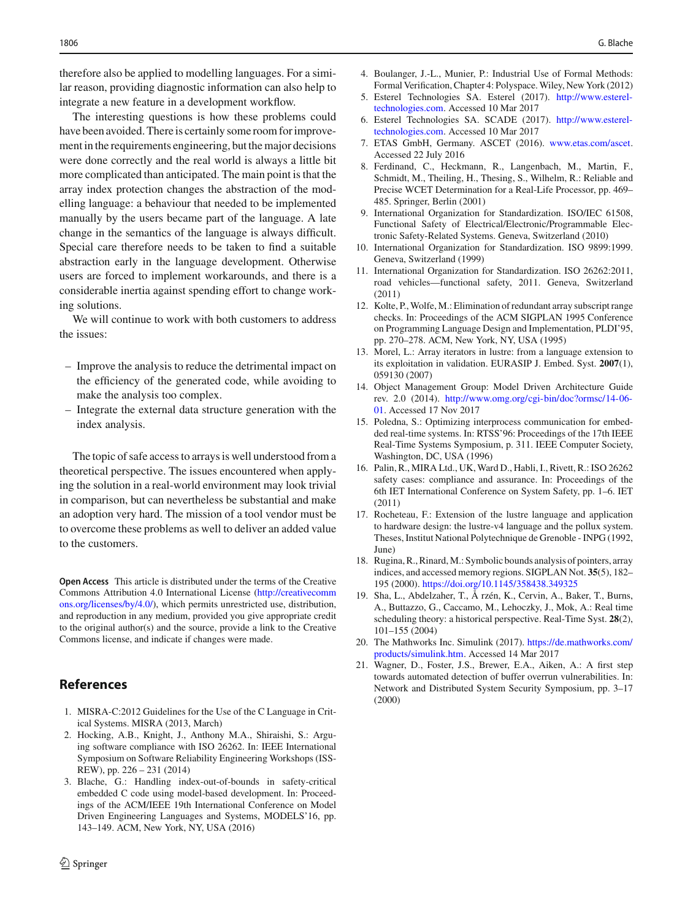therefore also be applied to modelling languages. For a similar reason, providing diagnostic information can also help to integrate a new feature in a development workflow.

The interesting questions is how these problems could have been avoided. There is certainly some room for improvement in the requirements engineering, but the major decisions were done correctly and the real world is always a little bit more complicated than anticipated. The main point is that the array index protection changes the abstraction of the modelling language: a behaviour that needed to be implemented manually by the users became part of the language. A late change in the semantics of the language is always difficult. Special care therefore needs to be taken to find a suitable abstraction early in the language development. Otherwise users are forced to implement workarounds, and there is a considerable inertia against spending effort to change working solutions.

We will continue to work with both customers to address the issues:

- Improve the analysis to reduce the detrimental impact on the efficiency of the generated code, while avoiding to make the analysis too complex.
- Integrate the external data structure generation with the index analysis.

The topic of safe access to arrays is well understood from a theoretical perspective. The issues encountered when applying the solution in a real-world environment may look trivial in comparison, but can nevertheless be substantial and make an adoption very hard. The mission of a tool vendor must be to overcome these problems as well to deliver an added value to the customers.

**Open Access** This article is distributed under the terms of the Creative Commons Attribution 4.0 International License [\(http://creativecomm](http://creativecommons.org/licenses/by/4.0/) [ons.org/licenses/by/4.0/\)](http://creativecommons.org/licenses/by/4.0/), which permits unrestricted use, distribution, and reproduction in any medium, provided you give appropriate credit to the original author(s) and the source, provide a link to the Creative Commons license, and indicate if changes were made.

# **References**

- <span id="page-11-5"></span>1. MISRA-C:2012 Guidelines for the Use of the C Language in Critical Systems. MISRA (2013, March)
- <span id="page-11-9"></span>2. Hocking, A.B., Knight, J., Anthony M.A., Shiraishi, S.: Arguing software compliance with ISO 26262. In: IEEE International Symposium on Software Reliability Engineering Workshops (ISS-REW), pp. 226 – 231 (2014)
- <span id="page-11-1"></span>3. Blache, G.: Handling index-out-of-bounds in safety-critical embedded C code using model-based development. In: Proceedings of the ACM/IEEE 19th International Conference on Model Driven Engineering Languages and Systems, MODELS'16, pp. 143–149. ACM, New York, NY, USA (2016)
- <span id="page-11-15"></span>4. Boulanger, J.-L., Munier, P.: Industrial Use of Formal Methods: Formal Verification, Chapter 4: Polyspace.Wiley, New York (2012)
- <span id="page-11-16"></span>5. Esterel Technologies SA. Esterel (2017). [http://www.esterel](http://www.esterel-technologies.com)[technologies.com.](http://www.esterel-technologies.com) Accessed 10 Mar 2017
- <span id="page-11-17"></span>6. Esterel Technologies SA. SCADE (2017). [http://www.esterel](http://www.esterel-technologies.com)[technologies.com.](http://www.esterel-technologies.com) Accessed 10 Mar 2017
- <span id="page-11-0"></span>7. ETAS GmbH, Germany. ASCET (2016). [www.etas.com/ascet.](www.etas.com/ascet) Accessed 22 July 2016
- <span id="page-11-6"></span>8. Ferdinand, C., Heckmann, R., Langenbach, M., Martin, F., Schmidt, M., Theiling, H., Thesing, S., Wilhelm, R.: Reliable and Precise WCET Determination for a Real-Life Processor, pp. 469– 485. Springer, Berlin (2001)
- <span id="page-11-3"></span>9. International Organization for Standardization. ISO/IEC 61508, Functional Safety of Electrical/Electronic/Programmable Electronic Safety-Related Systems. Geneva, Switzerland (2010)
- <span id="page-11-11"></span>10. International Organization for Standardization. ISO 9899:1999. Geneva, Switzerland (1999)
- <span id="page-11-4"></span>11. International Organization for Standardization. ISO 26262:2011, road vehicles—functional safety, 2011. Geneva, Switzerland (2011)
- <span id="page-11-12"></span>12. Kolte, P.,Wolfe, M.: Elimination of redundant array subscript range checks. In: Proceedings of the ACM SIGPLAN 1995 Conference on Programming Language Design and Implementation, PLDI'95, pp. 270–278. ACM, New York, NY, USA (1995)
- <span id="page-11-19"></span>13. Morel, L.: Array iterators in lustre: from a language extension to its exploitation in validation. EURASIP J. Embed. Syst. **2007**(1), 059130 (2007)
- <span id="page-11-2"></span>14. Object Management Group: Model Driven Architecture Guide rev. 2.0 (2014). [http://www.omg.org/cgi-bin/doc?ormsc/14-06-](http://www.omg.org/cgi-bin/doc?ormsc/14-06-01) [01.](http://www.omg.org/cgi-bin/doc?ormsc/14-06-01) Accessed 17 Nov 2017
- <span id="page-11-8"></span>15. Poledna, S.: Optimizing interprocess communication for embedded real-time systems. In: RTSS'96: Proceedings of the 17th IEEE Real-Time Systems Symposium, p. 311. IEEE Computer Society, Washington, DC, USA (1996)
- <span id="page-11-10"></span>16. Palin, R., MIRA Ltd., UK, Ward D., Habli, I., Rivett, R.: ISO 26262 safety cases: compliance and assurance. In: Proceedings of the 6th IET International Conference on System Safety, pp. 1–6. IET (2011)
- <span id="page-11-18"></span>17. Rocheteau, F.: Extension of the lustre language and application to hardware design: the lustre-v4 language and the pollux system. Theses, Institut National Polytechnique de Grenoble - INPG (1992, June)
- <span id="page-11-13"></span>18. Rugina, R., Rinard,M.: Symbolic bounds analysis of pointers, array indices, and accessed memory regions. SIGPLAN Not. **35**(5), 182– 195 (2000). <https://doi.org/10.1145/358438.349325>
- <span id="page-11-7"></span>19. Sha, L., Abdelzaher, T., Å rzén, K., Cervin, A., Baker, T., Burns, A., Buttazzo, G., Caccamo, M., Lehoczky, J., Mok, A.: Real time scheduling theory: a historical perspective. Real-Time Syst. **28**(2), 101–155 (2004)
- <span id="page-11-20"></span>20. The Mathworks Inc. Simulink (2017). [https://de.mathworks.com/](https://de.mathworks.com/products/simulink.htm) [products/simulink.htm.](https://de.mathworks.com/products/simulink.htm) Accessed 14 Mar 2017
- <span id="page-11-14"></span>21. Wagner, D., Foster, J.S., Brewer, E.A., Aiken, A.: A first step towards automated detection of buffer overrun vulnerabilities. In: Network and Distributed System Security Symposium, pp. 3–17 (2000)